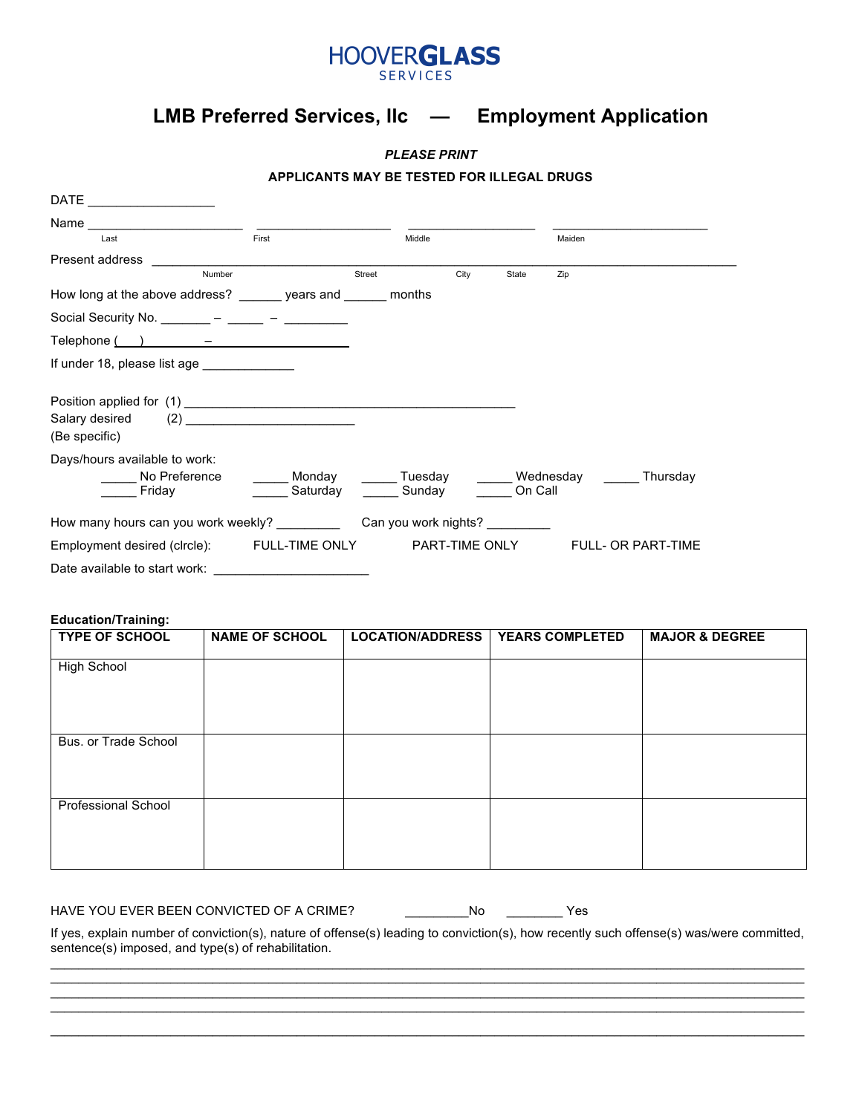

## **LMB Preferred Services, llc — Employment Application**

*PLEASE PRINT*

#### **APPLICANTS MAY BE TESTED FOR ILLEGAL DRUGS**

| $\mathsf{DATE} \_\_\_\_\_\_\_\_\$                             |                    |                                                |      |         |        |                           |
|---------------------------------------------------------------|--------------------|------------------------------------------------|------|---------|--------|---------------------------|
|                                                               |                    |                                                |      |         |        |                           |
| Last                                                          | First              | Middle                                         |      |         | Maiden |                           |
| Present address                                               |                    |                                                |      |         |        |                           |
| Number                                                        |                    | Street                                         | City | State   | Zip    |                           |
| How long at the above address? ______ years and ______ months |                    |                                                |      |         |        |                           |
| Social Security No. _______ – _____ – _______ –               |                    |                                                |      |         |        |                           |
| $\text{Telephone}$ $\qquad \qquad -$                          |                    |                                                |      |         |        |                           |
| If under 18, please list age ______________                   |                    |                                                |      |         |        |                           |
| Salary desired<br>(Be specific)                               | (2)                |                                                |      |         |        |                           |
| Days/hours available to work:                                 |                    |                                                |      |         |        |                           |
| No Preference<br>Friday                                       | Monday<br>Saturday | Tuesday _____Wednesday _____Thursday<br>Sunday |      | On Call |        |                           |
| How many hours can you work weekly? Can you work nights?      |                    |                                                |      |         |        |                           |
| Employment desired (clrcle): FULL-TIME ONLY PART-TIME ONLY    |                    |                                                |      |         |        | <b>FULL- OR PART-TIME</b> |
| Date available to start work:                                 |                    |                                                |      |         |        |                           |

#### **Education/Training:**

| <b>TYPE OF SCHOOL</b>      | <b>NAME OF SCHOOL</b> | <b>LOCATION/ADDRESS</b> | <b>YEARS COMPLETED</b> | <b>MAJOR &amp; DEGREE</b> |
|----------------------------|-----------------------|-------------------------|------------------------|---------------------------|
| High School                |                       |                         |                        |                           |
| Bus. or Trade School       |                       |                         |                        |                           |
| <b>Professional School</b> |                       |                         |                        |                           |

### HAVE YOU EVER BEEN CONVICTED OF A CRIME? \_\_\_\_\_\_\_\_\_\_\_\_No \_\_\_\_\_\_\_\_\_\_\_Yes

If yes, explain number of conviction(s), nature of offense(s) leading to conviction(s), how recently such offense(s) was/were committed, sentence(s) imposed, and type(s) of rehabilitation. \_\_\_\_\_\_\_\_\_\_\_\_\_\_\_\_\_\_\_\_\_\_\_\_\_\_\_\_\_\_\_\_\_\_\_\_\_\_\_\_\_\_\_\_\_\_\_\_\_\_\_\_\_\_\_\_\_\_\_\_\_\_\_\_\_\_\_\_\_\_\_\_\_\_\_\_\_\_\_\_\_\_\_\_\_\_\_\_\_\_\_\_\_\_\_\_\_\_\_\_\_\_\_\_\_\_\_

\_\_\_\_\_\_\_\_\_\_\_\_\_\_\_\_\_\_\_\_\_\_\_\_\_\_\_\_\_\_\_\_\_\_\_\_\_\_\_\_\_\_\_\_\_\_\_\_\_\_\_\_\_\_\_\_\_\_\_\_\_\_\_\_\_\_\_\_\_\_\_\_\_\_\_\_\_\_\_\_\_\_\_\_\_\_\_\_\_\_\_\_\_\_\_\_\_\_\_\_\_\_\_\_\_\_\_ \_\_\_\_\_\_\_\_\_\_\_\_\_\_\_\_\_\_\_\_\_\_\_\_\_\_\_\_\_\_\_\_\_\_\_\_\_\_\_\_\_\_\_\_\_\_\_\_\_\_\_\_\_\_\_\_\_\_\_\_\_\_\_\_\_\_\_\_\_\_\_\_\_\_\_\_\_\_\_\_\_\_\_\_\_\_\_\_\_\_\_\_\_\_\_\_\_\_\_\_\_\_\_\_\_\_\_ \_\_\_\_\_\_\_\_\_\_\_\_\_\_\_\_\_\_\_\_\_\_\_\_\_\_\_\_\_\_\_\_\_\_\_\_\_\_\_\_\_\_\_\_\_\_\_\_\_\_\_\_\_\_\_\_\_\_\_\_\_\_\_\_\_\_\_\_\_\_\_\_\_\_\_\_\_\_\_\_\_\_\_\_\_\_\_\_\_\_\_\_\_\_\_\_\_\_\_\_\_\_\_\_\_\_\_ \_\_\_\_\_\_\_\_\_\_\_\_\_\_\_\_\_\_\_\_\_\_\_\_\_\_\_\_\_\_\_\_\_\_\_\_\_\_\_\_\_\_\_\_\_\_\_\_\_\_\_\_\_\_\_\_\_\_\_\_\_\_\_\_\_\_\_\_\_\_\_\_\_\_\_\_\_\_\_\_\_\_\_\_\_\_\_\_\_\_\_\_\_\_\_\_\_\_\_\_\_\_\_\_\_\_\_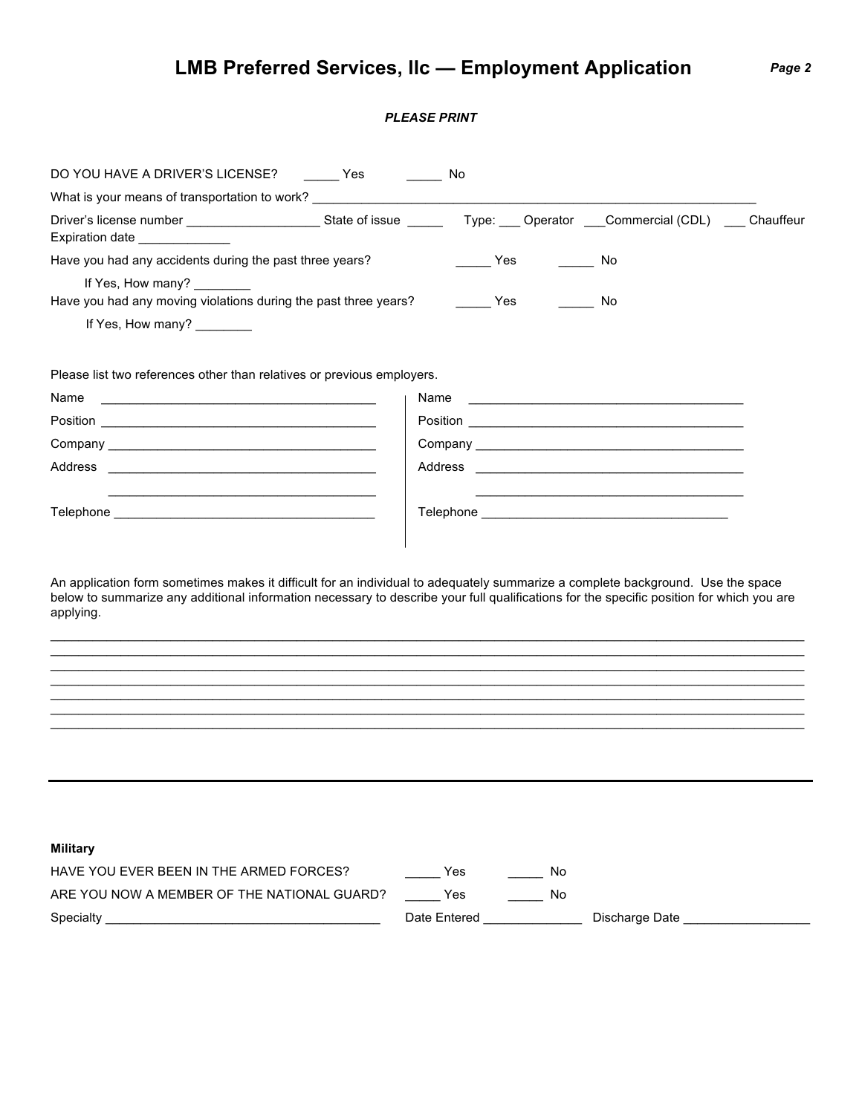# **LMB Preferred Services, llc — Employment Application** *Page 2*

## *PLEASE PRINT*

| DO YOU HAVE A DRIVER'S LICENSE? Yes                                                                                                                                                                                                                                                      | ______________ No |                     |    |                                                                                                                      |  |
|------------------------------------------------------------------------------------------------------------------------------------------------------------------------------------------------------------------------------------------------------------------------------------------|-------------------|---------------------|----|----------------------------------------------------------------------------------------------------------------------|--|
| What is your means of transportation to work? __________________________________                                                                                                                                                                                                         |                   |                     |    |                                                                                                                      |  |
| Expiration date                                                                                                                                                                                                                                                                          |                   |                     |    |                                                                                                                      |  |
| Have you had any accidents during the past three years?                                                                                                                                                                                                                                  |                   | $\frac{\ }{\ }$ Yes |    | No                                                                                                                   |  |
| If Yes, How many? ________<br>Have you had any moving violations during the past three years?                                                                                                                                                                                            |                   | <b>Example ST</b>   |    | No                                                                                                                   |  |
| If Yes, How many? ________                                                                                                                                                                                                                                                               |                   |                     |    |                                                                                                                      |  |
| Please list two references other than relatives or previous employers.                                                                                                                                                                                                                   |                   |                     |    |                                                                                                                      |  |
| Name<br><u> 1980 - Johann John Stone, markin fizik eta idazlea (</u>                                                                                                                                                                                                                     |                   | Name                |    | <u> 2000 - Jan James James James James James James James James James James James James James James James James J</u> |  |
|                                                                                                                                                                                                                                                                                          |                   |                     |    |                                                                                                                      |  |
| Company companies are all the companies of the companies of the companies of the companies of the companies of the companies of the companies of the companies of the companies of the companies of the companies of the compa                                                           |                   |                     |    |                                                                                                                      |  |
|                                                                                                                                                                                                                                                                                          |                   |                     |    |                                                                                                                      |  |
|                                                                                                                                                                                                                                                                                          |                   |                     |    | <u> 1989 - Johann John Stein, markin fan it ferstjer fan de Amerikaanske kommunister fan it ferstjer fan it fers</u> |  |
| An application form sometimes makes it difficult for an individual to adequately summarize a complete background. Use the space<br>below to summarize any additional information necessary to describe your full qualifications for the specific position for which you are<br>applying. |                   |                     |    |                                                                                                                      |  |
|                                                                                                                                                                                                                                                                                          |                   |                     |    |                                                                                                                      |  |
|                                                                                                                                                                                                                                                                                          |                   |                     |    |                                                                                                                      |  |
|                                                                                                                                                                                                                                                                                          |                   |                     |    |                                                                                                                      |  |
|                                                                                                                                                                                                                                                                                          |                   |                     |    |                                                                                                                      |  |
| <b>Military</b>                                                                                                                                                                                                                                                                          |                   |                     |    |                                                                                                                      |  |
| HAVE YOU EVER BEEN IN THE ARMED FORCES?                                                                                                                                                                                                                                                  |                   | Yes                 | No |                                                                                                                      |  |
| ARE YOU NOW A MEMBER OF THE NATIONAL GUARD?                                                                                                                                                                                                                                              |                   | Yes                 | No |                                                                                                                      |  |
| Specialty and the state of the state of the state of the state of the state of the state of the state of the state of the state of the state of the state of the state of the state of the state of the state of the state of                                                            |                   | Date Entered        |    | Discharge Date                                                                                                       |  |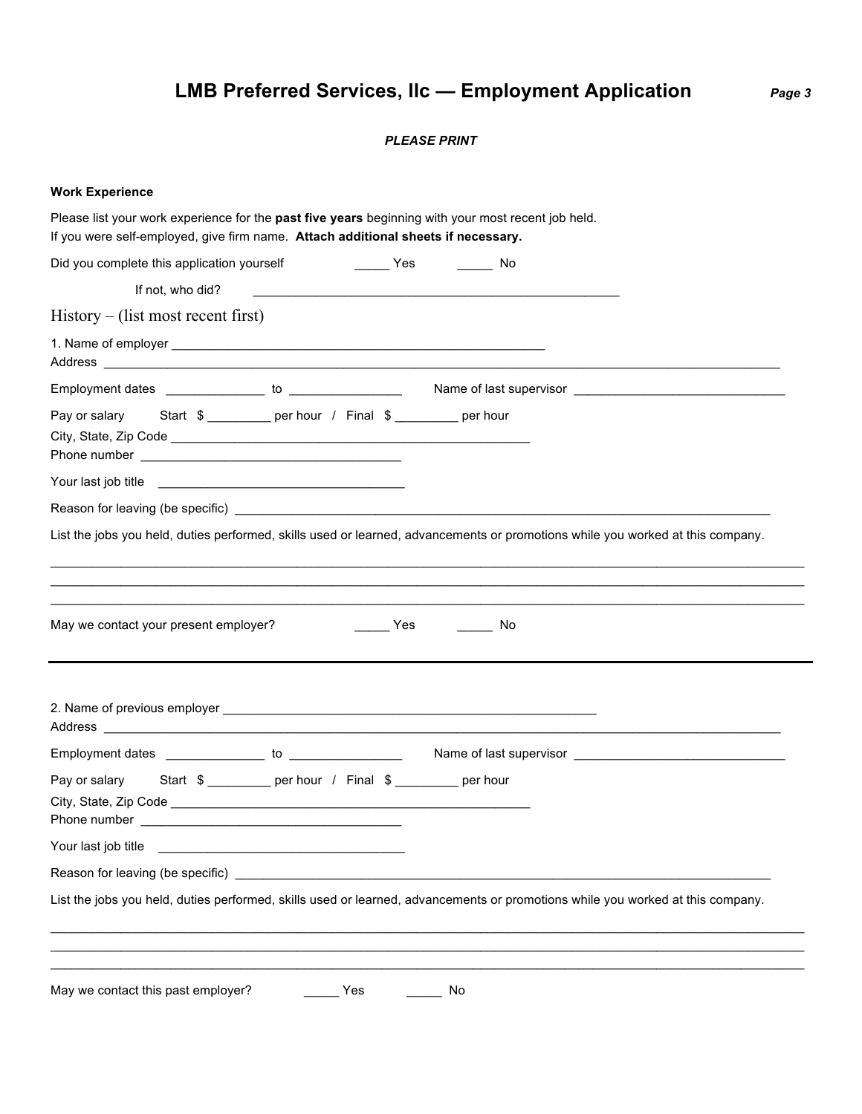# **LMB Preferred Services, llc — Employment Application** *Page 3*

### *PLEASE PRINT*

| <b>Work Experience</b>                                                                                                                                                                                                                            |
|---------------------------------------------------------------------------------------------------------------------------------------------------------------------------------------------------------------------------------------------------|
| Please list your work experience for the past five years beginning with your most recent job held.<br>If you were self-employed, give firm name. Attach additional sheets if necessary.                                                           |
| Did you complete this application yourself<br>and the set of the Yes<br>____________ No                                                                                                                                                           |
|                                                                                                                                                                                                                                                   |
| $History - (list most recent first)$                                                                                                                                                                                                              |
|                                                                                                                                                                                                                                                   |
|                                                                                                                                                                                                                                                   |
| Start \$ __________ per hour / Final \$ _________ per hour<br>Pay or salary                                                                                                                                                                       |
|                                                                                                                                                                                                                                                   |
|                                                                                                                                                                                                                                                   |
| List the jobs you held, duties performed, skills used or learned, advancements or promotions while you worked at this company.                                                                                                                    |
| May we contact your present employer?<br><b>Paradox</b><br>in No                                                                                                                                                                                  |
| Address and the contract of the contract of the contract of the contract of the contract of the contract of the contract of the contract of the contract of the contract of the contract of the contract of the contract of th                    |
|                                                                                                                                                                                                                                                   |
| Pay or salary Start \$ _________ per hour / Final \$ ________ per hour<br>City, State, Zip Code _________<br>Phone number<br><u> La Carlo Carlo Carlo Carlo Carlo Carlo Carlo Carlo Carlo Carlo Carlo Carlo Carlo Carlo Carlo Carlo Carlo Car</u> |
| Your last job title<br><u> 1989 - Johann Stein, mars an de Francisco Barbara (</u>                                                                                                                                                                |
|                                                                                                                                                                                                                                                   |
| List the jobs you held, duties performed, skills used or learned, advancements or promotions while you worked at this company.                                                                                                                    |
| May we contact this past employer?<br>Yes<br>No                                                                                                                                                                                                   |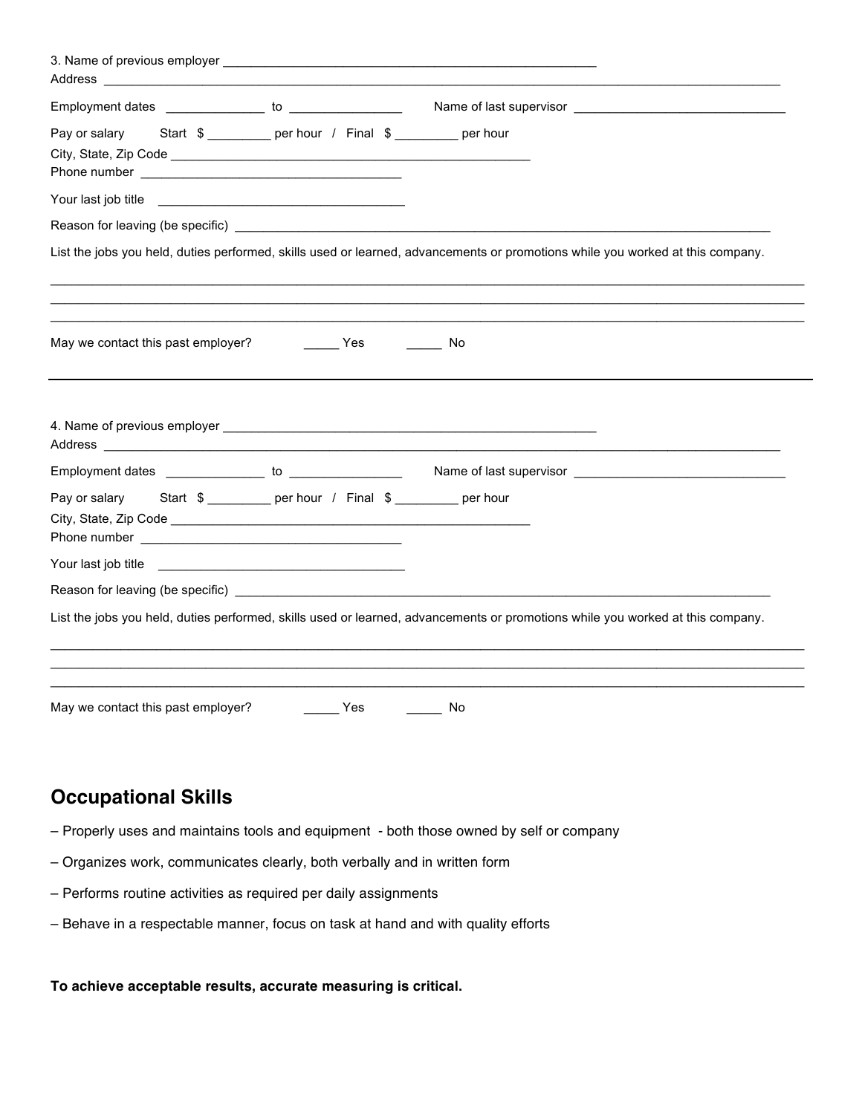| Employment dates ________________ to ________________                                                                                                                                                                                |                                                                                           |                                                                                                                                |
|--------------------------------------------------------------------------------------------------------------------------------------------------------------------------------------------------------------------------------------|-------------------------------------------------------------------------------------------|--------------------------------------------------------------------------------------------------------------------------------|
| Pay or salary                                                                                                                                                                                                                        | Start \$ ___________ per hour / Final \$ _________ per hour                               |                                                                                                                                |
| Your last job title <u>expression of the set of the set of the set of the set of the set of the set of the set of the set of the set of the set of the set of the set of the set of the set of the set of the set of the set of </u> |                                                                                           |                                                                                                                                |
|                                                                                                                                                                                                                                      |                                                                                           |                                                                                                                                |
|                                                                                                                                                                                                                                      |                                                                                           | List the jobs you held, duties performed, skills used or learned, advancements or promotions while you worked at this company. |
| May we contact this past employer?                                                                                                                                                                                                   | $\rule{1em}{0.15mm}$ Yes                                                                  | No                                                                                                                             |
|                                                                                                                                                                                                                                      |                                                                                           |                                                                                                                                |
|                                                                                                                                                                                                                                      |                                                                                           |                                                                                                                                |
|                                                                                                                                                                                                                                      |                                                                                           |                                                                                                                                |
|                                                                                                                                                                                                                                      |                                                                                           |                                                                                                                                |
|                                                                                                                                                                                                                                      | the control of the control of the control of the control of the control of the control of |                                                                                                                                |
| Pay or salary Start \$ __________ per hour / Final \$ _________ per hour<br>Your last job title                                                                                                                                      |                                                                                           |                                                                                                                                |
|                                                                                                                                                                                                                                      |                                                                                           | List the jobs you held, duties performed, skills used or learned, advancements or promotions while you worked at this company. |
|                                                                                                                                                                                                                                      |                                                                                           |                                                                                                                                |
|                                                                                                                                                                                                                                      |                                                                                           |                                                                                                                                |

## **Occupational Skills**

- Properly uses and maintains tools and equipment both those owned by self or company
- Organizes work, communicates clearly, both verbally and in written form
- Performs routine activities as required per daily assignments
- Behave in a respectable manner, focus on task at hand and with quality efforts

**To achieve acceptable results, accurate measuring is critical.**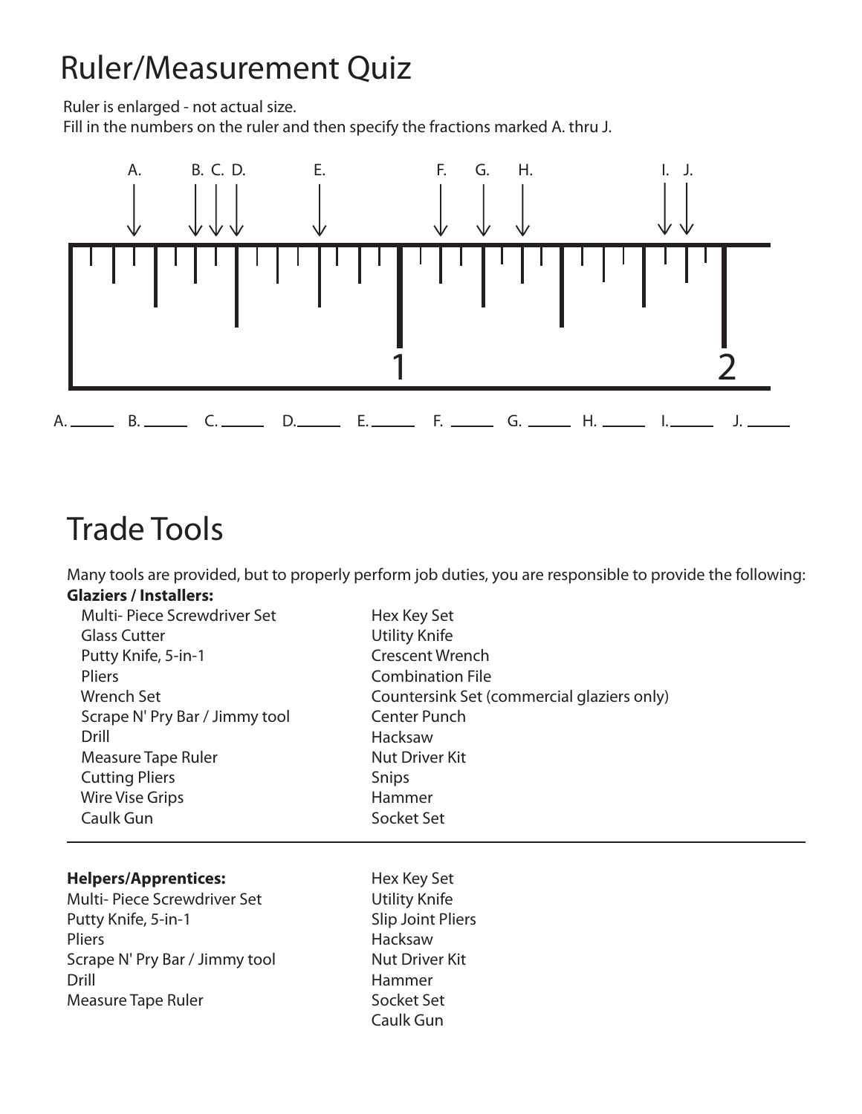# Ruler/Measurement Quiz

Ruler is enlarged - not actual size.

Fill in the numbers on the ruler and then specify the fractions marked A. thru J.



# Trade Tools

Many tools are provided, but to properly perform job duties, you are responsible to provide the following: **Glaziers / Installers:**

| Multi-Piece Screwdriver Set    | Hex Key Set                                |
|--------------------------------|--------------------------------------------|
| <b>Glass Cutter</b>            | <b>Utility Knife</b>                       |
| Putty Knife, 5-in-1            | <b>Crescent Wrench</b>                     |
| <b>Pliers</b>                  | <b>Combination File</b>                    |
| <b>Wrench Set</b>              | Countersink Set (commercial glaziers only) |
| Scrape N' Pry Bar / Jimmy tool | Center Punch                               |
| Drill                          | Hacksaw                                    |
| Measure Tape Ruler             | <b>Nut Driver Kit</b>                      |
| <b>Cutting Pliers</b>          | Snips                                      |
| <b>Wire Vise Grips</b>         | Hammer                                     |
| Caulk Gun                      | Socket Set                                 |
|                                |                                            |

## **Helpers/Apprentices:**

Multi- Piece Screwdriver Set Putty Knife, 5-in-1 Pliers Scrape N' Pry Bar / Jimmy tool Drill Measure Tape Ruler

Hex Key Set Utility Knife Slip Joint Pliers Hacksaw Nut Driver Kit Hammer Socket Set Caulk Gun